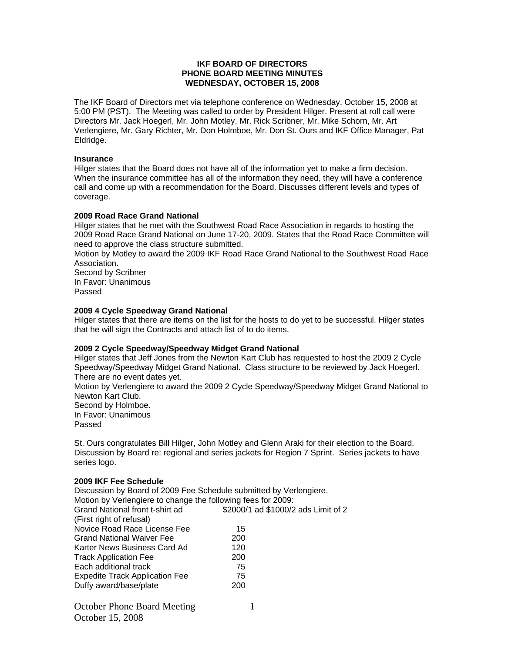# **IKF BOARD OF DIRECTORS PHONE BOARD MEETING MINUTES WEDNESDAY, OCTOBER 15, 2008**

The IKF Board of Directors met via telephone conference on Wednesday, October 15, 2008 at 5:00 PM (PST). The Meeting was called to order by President Hilger. Present at roll call were Directors Mr. Jack Hoegerl, Mr. John Motley, Mr. Rick Scribner, Mr. Mike Schorn, Mr. Art Verlengiere, Mr. Gary Richter, Mr. Don Holmboe, Mr. Don St. Ours and IKF Office Manager, Pat Eldridge.

## **Insurance**

Hilger states that the Board does not have all of the information yet to make a firm decision. When the insurance committee has all of the information they need, they will have a conference call and come up with a recommendation for the Board. Discusses different levels and types of coverage.

## **2009 Road Race Grand National**

Hilger states that he met with the Southwest Road Race Association in regards to hosting the 2009 Road Race Grand National on June 17-20, 2009. States that the Road Race Committee will need to approve the class structure submitted.

Motion by Motley to award the 2009 IKF Road Race Grand National to the Southwest Road Race Association.

Second by Scribner In Favor: Unanimous Passed

## **2009 4 Cycle Speedway Grand National**

Hilger states that there are items on the list for the hosts to do yet to be successful. Hilger states that he will sign the Contracts and attach list of to do items.

#### **2009 2 Cycle Speedway/Speedway Midget Grand National**

Hilger states that Jeff Jones from the Newton Kart Club has requested to host the 2009 2 Cycle Speedway/Speedway Midget Grand National. Class structure to be reviewed by Jack Hoegerl. There are no event dates yet.

Motion by Verlengiere to award the 2009 2 Cycle Speedway/Speedway Midget Grand National to Newton Kart Club.

Second by Holmboe.

In Favor: Unanimous Passed

St. Ours congratulates Bill Hilger, John Motley and Glenn Araki for their election to the Board. Discussion by Board re: regional and series jackets for Region 7 Sprint. Series jackets to have series logo.

#### **2009 IKF Fee Schedule**

| Discussion by Board of 2009 Fee Schedule submitted by Verlengiere. |     |                                     |
|--------------------------------------------------------------------|-----|-------------------------------------|
| Motion by Verlengiere to change the following fees for 2009:       |     |                                     |
| Grand National front t-shirt ad                                    |     | \$2000/1 ad \$1000/2 ads Limit of 2 |
| (First right of refusal)                                           |     |                                     |
| Novice Road Race License Fee                                       | 15  |                                     |
| <b>Grand National Waiver Fee</b>                                   | 200 |                                     |
| Karter News Business Card Ad                                       | 120 |                                     |
| <b>Track Application Fee</b>                                       | 200 |                                     |
| Each additional track                                              | 75  |                                     |
| <b>Expedite Track Application Fee</b>                              | 75  |                                     |
| Duffy award/base/plate                                             | 200 |                                     |
|                                                                    |     |                                     |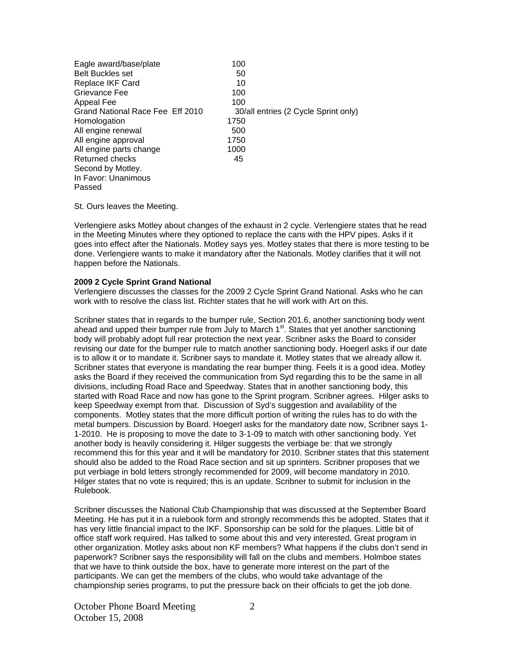| Eagle award/base/plate<br><b>Belt Buckles set</b> | 100<br>50                            |
|---------------------------------------------------|--------------------------------------|
| Replace IKF Card                                  | 10                                   |
| Grievance Fee                                     | 100                                  |
| Appeal Fee                                        | 100                                  |
| Grand National Race Fee Eff 2010                  | 30/all entries (2 Cycle Sprint only) |
| Homologation                                      | 1750                                 |
| All engine renewal                                | 500                                  |
| All engine approval                               | 1750                                 |
| All engine parts change                           | 1000                                 |
| <b>Returned checks</b>                            | 45                                   |
| Second by Motley.                                 |                                      |
| In Favor: Unanimous                               |                                      |
| Passed                                            |                                      |

St. Ours leaves the Meeting.

Verlengiere asks Motley about changes of the exhaust in 2 cycle. Verlengiere states that he read in the Meeting Minutes where they optioned to replace the cans with the HPV pipes. Asks if it goes into effect after the Nationals. Motley says yes. Motley states that there is more testing to be done. Verlengiere wants to make it mandatory after the Nationals. Motley clarifies that it will not happen before the Nationals.

# **2009 2 Cycle Sprint Grand National**

Verlengiere discusses the classes for the 2009 2 Cycle Sprint Grand National. Asks who he can work with to resolve the class list. Richter states that he will work with Art on this.

Scribner states that in regards to the bumper rule, Section 201.6, another sanctioning body went ahead and upped their bumper rule from July to March  $1<sup>st</sup>$ . States that yet another sanctioning body will probably adopt full rear protection the next year. Scribner asks the Board to consider revising our date for the bumper rule to match another sanctioning body. Hoegerl asks if our date is to allow it or to mandate it. Scribner says to mandate it. Motley states that we already allow it. Scribner states that everyone is mandating the rear bumper thing. Feels it is a good idea. Motley asks the Board if they received the communication from Syd regarding this to be the same in all divisions, including Road Race and Speedway. States that in another sanctioning body, this started with Road Race and now has gone to the Sprint program. Scribner agrees. Hilger asks to keep Speedway exempt from that. Discussion of Syd's suggestion and availability of the components. Motley states that the more difficult portion of writing the rules has to do with the metal bumpers. Discussion by Board. Hoegerl asks for the mandatory date now, Scribner says 1- 1-2010. He is proposing to move the date to 3-1-09 to match with other sanctioning body. Yet another body is heavily considering it. Hilger suggests the verbiage be: that we strongly recommend this for this year and it will be mandatory for 2010. Scribner states that this statement should also be added to the Road Race section and sit up sprinters. Scribner proposes that we put verbiage in bold letters strongly recommended for 2009, will become mandatory in 2010. Hilger states that no vote is required; this is an update. Scribner to submit for inclusion in the Rulebook.

Scribner discusses the National Club Championship that was discussed at the September Board Meeting. He has put it in a rulebook form and strongly recommends this be adopted. States that it has very little financial impact to the IKF. Sponsorship can be sold for the plaques. Little bit of office staff work required. Has talked to some about this and very interested. Great program in other organization. Motley asks about non KF members? What happens if the clubs don't send in paperwork? Scribner says the responsibility will fall on the clubs and members. Holmboe states that we have to think outside the box, have to generate more interest on the part of the participants. We can get the members of the clubs, who would take advantage of the championship series programs, to put the pressure back on their officials to get the job done.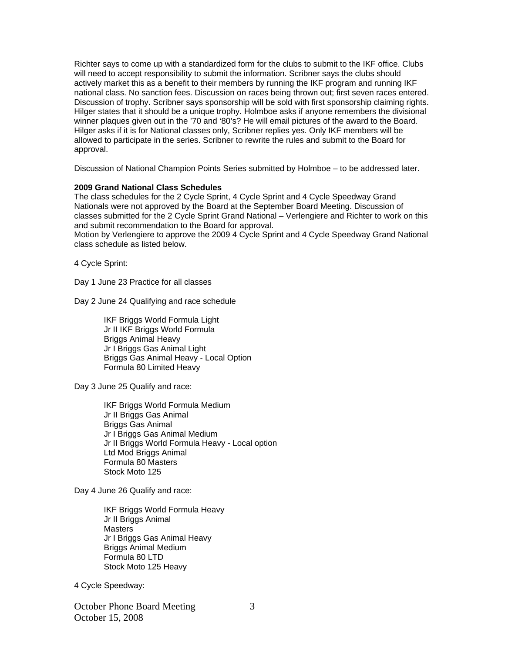Richter says to come up with a standardized form for the clubs to submit to the IKF office. Clubs will need to accept responsibility to submit the information. Scribner says the clubs should actively market this as a benefit to their members by running the IKF program and running IKF national class. No sanction fees. Discussion on races being thrown out; first seven races entered. Discussion of trophy. Scribner says sponsorship will be sold with first sponsorship claiming rights. Hilger states that it should be a unique trophy. Holmboe asks if anyone remembers the divisional winner plaques given out in the '70 and '80's? He will email pictures of the award to the Board. Hilger asks if it is for National classes only, Scribner replies yes. Only IKF members will be allowed to participate in the series. Scribner to rewrite the rules and submit to the Board for approval.

Discussion of National Champion Points Series submitted by Holmboe – to be addressed later.

## **2009 Grand National Class Schedules**

The class schedules for the 2 Cycle Sprint, 4 Cycle Sprint and 4 Cycle Speedway Grand Nationals were not approved by the Board at the September Board Meeting. Discussion of classes submitted for the 2 Cycle Sprint Grand National – Verlengiere and Richter to work on this and submit recommendation to the Board for approval.

Motion by Verlengiere to approve the 2009 4 Cycle Sprint and 4 Cycle Speedway Grand National class schedule as listed below.

4 Cycle Sprint:

Day 1 June 23 Practice for all classes

Day 2 June 24 Qualifying and race schedule

 IKF Briggs World Formula Light Jr II IKF Briggs World Formula Briggs Animal Heavy Jr I Briggs Gas Animal Light Briggs Gas Animal Heavy - Local Option Formula 80 Limited Heavy

Day 3 June 25 Qualify and race:

 IKF Briggs World Formula Medium Jr II Briggs Gas Animal Briggs Gas Animal Jr I Briggs Gas Animal Medium Jr II Briggs World Formula Heavy - Local option Ltd Mod Briggs Animal Formula 80 Masters Stock Moto 125

Day 4 June 26 Qualify and race:

 IKF Briggs World Formula Heavy Jr II Briggs Animal Masters Jr I Briggs Gas Animal Heavy Briggs Animal Medium Formula 80 LTD Stock Moto 125 Heavy

4 Cycle Speedway:

October Phone Board Meeting October 15, 2008